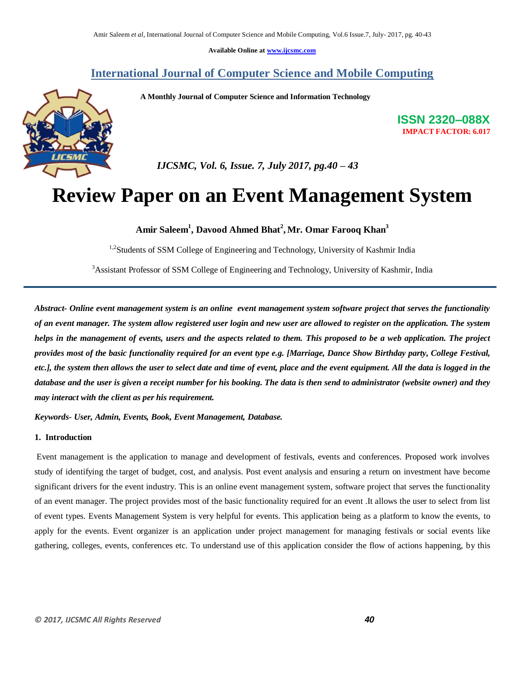**Available Online at www.ijcsmc.com**

# **International Journal of Computer Science and Mobile Computing**





**ISSN 2320–088X IMPACT FACTOR: 6.017**

 *IJCSMC, Vol. 6, Issue. 7, July 2017, pg.40 – 43*

# **Review Paper on an Event Management System**

**Amir Saleem<sup>1</sup> , Davood Ahmed Bhat<sup>2</sup> , Mr. Omar Farooq Khan<sup>3</sup>**

<sup>1,2</sup>Students of SSM College of Engineering and Technology, University of Kashmir India

<sup>3</sup>Assistant Professor of SSM College of Engineering and Technology, University of Kashmir, India

*Abstract- Online event management system is an online event management system software project that serves the functionality of an event manager. The system allow registered user login and new user are allowed to register on the application. The system helps in the management of events, users and the aspects related to them. This proposed to be a web application. The project provides most of the basic functionality required for an event type e.g. [Marriage, Dance Show Birthday party, College Festival, etc.], the system then allows the user to select date and time of event, place and the event equipment. All the data is logged in the database and the user is given a receipt number for his booking. The data is then send to administrator (website owner) and they may interact with the client as per his requirement.* 

*Keywords- User, Admin, Events, Book, Event Management, Database.* 

#### **1. Introduction**

Event management is the application to manage and development of festivals, events and conferences. Proposed work involves study of identifying the target of budget, cost, and analysis. Post event analysis and ensuring a return on investment have become significant drivers for the event industry. This is an online event management system, software project that serves the functionality of an event manager. The project provides most of the basic functionality required for an event .It allows the user to select from list of event types. Events Management System is very helpful for events. This application being as a platform to know the events, to apply for the events. Event organizer is an application under project management for managing festivals or social events like gathering, colleges, events, conferences etc. To understand use of this application consider the flow of actions happening, by this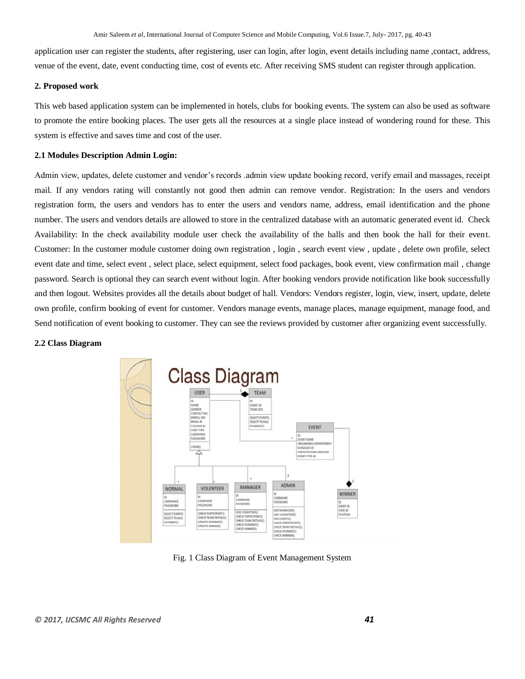application user can register the students, after registering, user can login, after login, event details including name ,contact, address, venue of the event, date, event conducting time, cost of events etc. After receiving SMS student can register through application.

#### **2. Proposed work**

This web based application system can be implemented in hotels, clubs for booking events. The system can also be used as software to promote the entire booking places. The user gets all the resources at a single place instead of wondering round for these. This system is effective and saves time and cost of the user.

#### **2.1 Modules Description Admin Login:**

Admin view, updates, delete customer and vendor's records .admin view update booking record, verify email and massages, receipt mail. If any vendors rating will constantly not good then admin can remove vendor. Registration: In the users and vendors registration form, the users and vendors has to enter the users and vendors name, address, email identification and the phone number. The users and vendors details are allowed to store in the centralized database with an automatic generated event id. Check Availability: In the check availability module user check the availability of the halls and then book the hall for their event. Customer: In the customer module customer doing own registration , login , search event view , update , delete own profile, select event date and time, select event , select place, select equipment, select food packages, book event, view confirmation mail , change password. Search is optional they can search event without login. After booking vendors provide notification like book successfully and then logout. Websites provides all the details about budget of hall. Vendors: Vendors register, login, view, insert, update, delete own profile, confirm booking of event for customer. Vendors manage events, manage places, manage equipment, manage food, and Send notification of event booking to customer. They can see the reviews provided by customer after organizing event successfully.

#### **2.2 Class Diagram**



Fig. 1 Class Diagram of Event Management System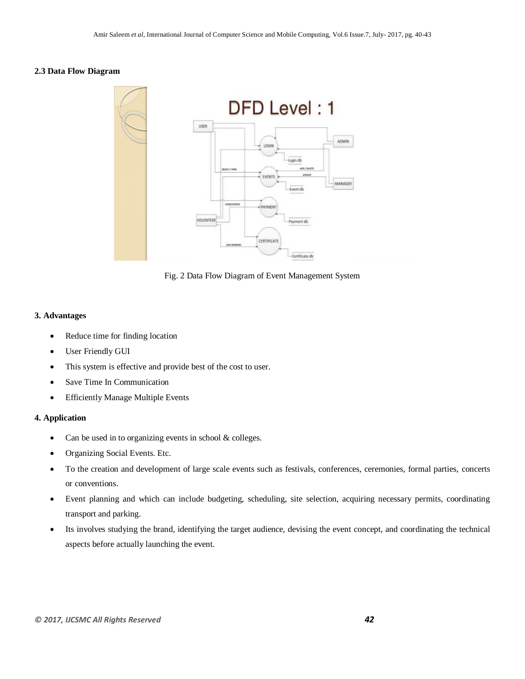# **2.3 Data Flow Diagram**



Fig. 2 Data Flow Diagram of Event Management System

# **3. Advantages**

- Reduce time for finding location
- User Friendly GUI
- This system is effective and provide best of the cost to user.
- Save Time In Communication
- Efficiently Manage Multiple Events

# **4. Application**

- Can be used in to organizing events in school & colleges.
- Organizing Social Events. Etc.
- To the creation and development of large scale events such as festivals, conferences, ceremonies, formal parties, concerts or conventions.
- Event planning and which can include budgeting, scheduling, site selection, acquiring necessary permits, coordinating transport and parking.
- Its involves studying the brand, identifying the target audience, devising the event concept, and coordinating the technical aspects before actually launching the event.